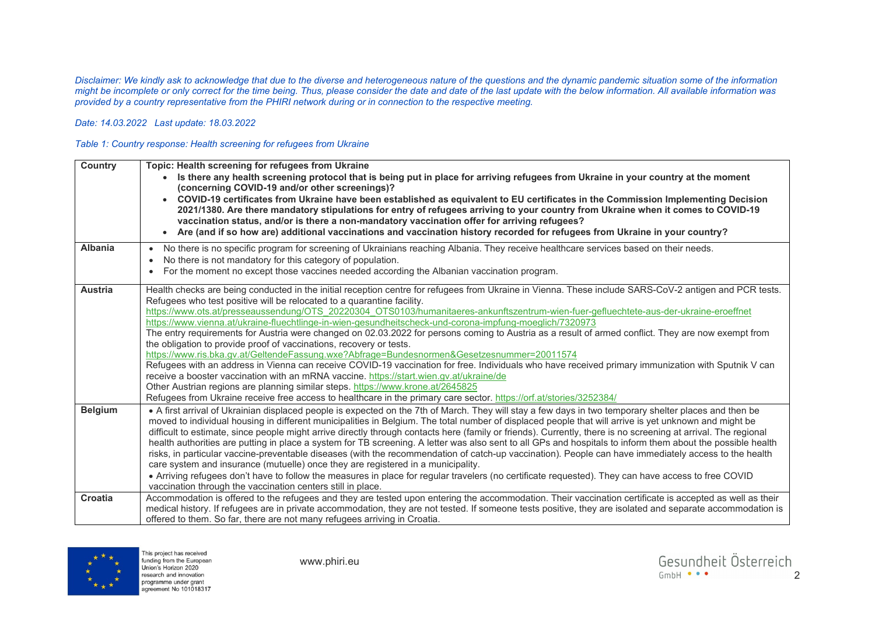*Disclaimer: We kindly ask to acknowledge that due to the diverse and heterogeneous nature of the questions and the dynamic pandemic situation some of the information might be incomplete or only correct for the time being. Thus, please consider the date and date of the last update with the below information. All available information was provided by a country representative from the PHIRI network during or in connection to the respective meeting.* 

## *Date: 14.03.2022 Last update: 18.03.2022*

## *Table 1: Country response: Health screening for refugees from Ukraine*

| <b>Country</b> | Topic: Health screening for refugees from Ukraine<br>Is there any health screening protocol that is being put in place for arriving refugees from Ukraine in your country at the moment<br>(concerning COVID-19 and/or other screenings)?<br>COVID-19 certificates from Ukraine have been established as equivalent to EU certificates in the Commission Implementing Decision<br>2021/1380. Are there mandatory stipulations for entry of refugees arriving to your country from Ukraine when it comes to COVID-19<br>vaccination status, and/or is there a non-mandatory vaccination offer for arriving refugees?<br>Are (and if so how are) additional vaccinations and vaccination history recorded for refugees from Ukraine in your country?<br>$\bullet$                                                                                                                                                                                                                                                                                                                                                                                                                                                                                                               |
|----------------|-------------------------------------------------------------------------------------------------------------------------------------------------------------------------------------------------------------------------------------------------------------------------------------------------------------------------------------------------------------------------------------------------------------------------------------------------------------------------------------------------------------------------------------------------------------------------------------------------------------------------------------------------------------------------------------------------------------------------------------------------------------------------------------------------------------------------------------------------------------------------------------------------------------------------------------------------------------------------------------------------------------------------------------------------------------------------------------------------------------------------------------------------------------------------------------------------------------------------------------------------------------------------------|
| Albania        | No there is no specific program for screening of Ukrainians reaching Albania. They receive healthcare services based on their needs.<br>$\bullet$<br>No there is not mandatory for this category of population.<br>For the moment no except those vaccines needed according the Albanian vaccination program.                                                                                                                                                                                                                                                                                                                                                                                                                                                                                                                                                                                                                                                                                                                                                                                                                                                                                                                                                                 |
| Austria        | Health checks are being conducted in the initial reception centre for refugees from Ukraine in Vienna. These include SARS-CoV-2 antigen and PCR tests.<br>Refugees who test positive will be relocated to a quarantine facility.<br>https://www.ots.at/presseaussendung/OTS 20220304 OTS0103/humanitaeres-ankunftszentrum-wien-fuer-gefluechtete-aus-der-ukraine-eroeffnet<br>https://www.vienna.at/ukraine-fluechtlinge-in-wien-gesundheitscheck-und-corona-impfung-moeglich/7320973<br>The entry requirements for Austria were changed on 02.03.2022 for persons coming to Austria as a result of armed conflict. They are now exempt from<br>the obligation to provide proof of vaccinations, recovery or tests.<br>https://www.ris.bka.gv.at/GeltendeFassung.wxe?Abfrage=Bundesnormen&Gesetzesnummer=20011574<br>Refugees with an address in Vienna can receive COVID-19 vaccination for free. Individuals who have received primary immunization with Sputnik V can<br>receive a booster vaccination with an mRNA vaccine. https://start.wien.gv.at/ukraine/de<br>Other Austrian regions are planning similar steps. https://www.krone.at/2645825<br>Refugees from Ukraine receive free access to healthcare in the primary care sector. https://orf.at/stories/3252384/ |
| <b>Belgium</b> | • A first arrival of Ukrainian displaced people is expected on the 7th of March. They will stay a few days in two temporary shelter places and then be<br>moved to individual housing in different municipalities in Belgium. The total number of displaced people that will arrive is yet unknown and might be<br>difficult to estimate, since people might arrive directly through contacts here (family or friends). Currently, there is no screening at arrival. The regional<br>health authorities are putting in place a system for TB screening. A letter was also sent to all GPs and hospitals to inform them about the possible health<br>risks, in particular vaccine-preventable diseases (with the recommendation of catch-up vaccination). People can have immediately access to the health<br>care system and insurance (mutuelle) once they are registered in a municipality.<br>. Arriving refugees don't have to follow the measures in place for regular travelers (no certificate requested). They can have access to free COVID<br>vaccination through the vaccination centers still in place.                                                                                                                                                           |
| Croatia        | Accommodation is offered to the refugees and they are tested upon entering the accommodation. Their vaccination certificate is accepted as well as their<br>medical history. If refugees are in private accommodation, they are not tested. If someone tests positive, they are isolated and separate accommodation is<br>offered to them. So far, there are not many refugees arriving in Croatia.                                                                                                                                                                                                                                                                                                                                                                                                                                                                                                                                                                                                                                                                                                                                                                                                                                                                           |

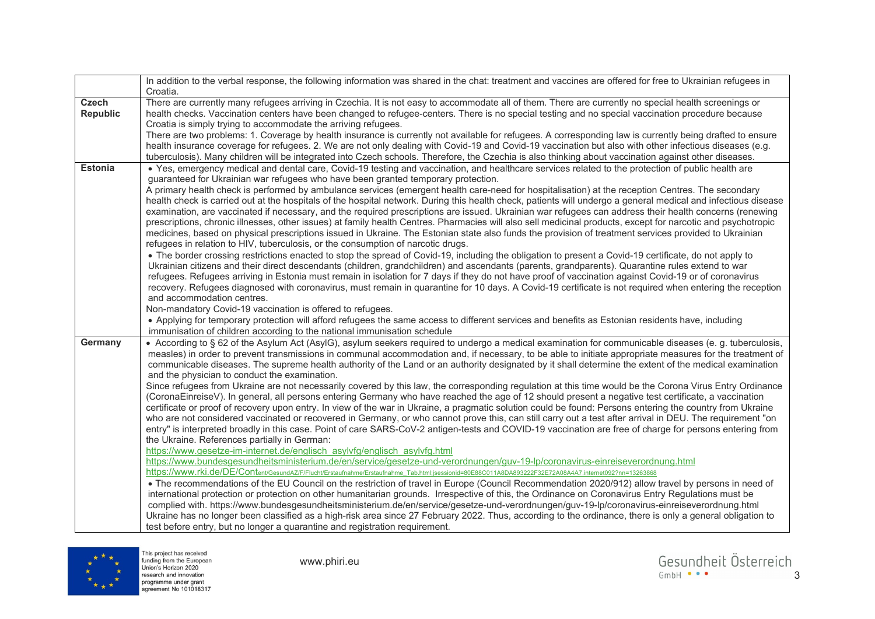|                 | In addition to the verbal response, the following information was shared in the chat: treatment and vaccines are offered for free to Ukrainian refugees in                                                                                                                                                         |
|-----------------|--------------------------------------------------------------------------------------------------------------------------------------------------------------------------------------------------------------------------------------------------------------------------------------------------------------------|
|                 | Croatia.                                                                                                                                                                                                                                                                                                           |
| <b>Czech</b>    | There are currently many refugees arriving in Czechia. It is not easy to accommodate all of them. There are currently no special health screenings or                                                                                                                                                              |
| <b>Republic</b> | health checks. Vaccination centers have been changed to refugee-centers. There is no special testing and no special vaccination procedure because                                                                                                                                                                  |
|                 | Croatia is simply trying to accommodate the arriving refugees.                                                                                                                                                                                                                                                     |
|                 | There are two problems: 1. Coverage by health insurance is currently not available for refugees. A corresponding law is currently being drafted to ensure                                                                                                                                                          |
|                 | health insurance coverage for refugees. 2. We are not only dealing with Covid-19 and Covid-19 vaccination but also with other infectious diseases (e.g.                                                                                                                                                            |
|                 | tuberculosis). Many children will be integrated into Czech schools. Therefore, the Czechia is also thinking about vaccination against other diseases.                                                                                                                                                              |
| <b>Estonia</b>  | • Yes, emergency medical and dental care, Covid-19 testing and vaccination, and healthcare services related to the protection of public health are                                                                                                                                                                 |
|                 | guaranteed for Ukrainian war refugees who have been granted temporary protection.                                                                                                                                                                                                                                  |
|                 | A primary health check is performed by ambulance services (emergent health care-need for hospitalisation) at the reception Centres. The secondary                                                                                                                                                                  |
|                 | health check is carried out at the hospitals of the hospital network. During this health check, patients will undergo a general medical and infectious disease                                                                                                                                                     |
|                 | examination, are vaccinated if necessary, and the required prescriptions are issued. Ukrainian war refugees can address their health concerns (renewing                                                                                                                                                            |
|                 | prescriptions, chronic illnesses, other issues) at family health Centres. Pharmacies will also sell medicinal products, except for narcotic and psychotropic                                                                                                                                                       |
|                 | medicines, based on physical prescriptions issued in Ukraine. The Estonian state also funds the provision of treatment services provided to Ukrainian                                                                                                                                                              |
|                 | refugees in relation to HIV, tuberculosis, or the consumption of narcotic drugs.                                                                                                                                                                                                                                   |
|                 | • The border crossing restrictions enacted to stop the spread of Covid-19, including the obligation to present a Covid-19 certificate, do not apply to                                                                                                                                                             |
|                 | Ukrainian citizens and their direct descendants (children, grandchildren) and ascendants (parents, grandparents). Quarantine rules extend to war                                                                                                                                                                   |
|                 | refugees. Refugees arriving in Estonia must remain in isolation for 7 days if they do not have proof of vaccination against Covid-19 or of coronavirus                                                                                                                                                             |
|                 | recovery. Refugees diagnosed with coronavirus, must remain in quarantine for 10 days. A Covid-19 certificate is not required when entering the reception                                                                                                                                                           |
|                 | and accommodation centres.                                                                                                                                                                                                                                                                                         |
|                 | Non-mandatory Covid-19 vaccination is offered to refugees.                                                                                                                                                                                                                                                         |
|                 | • Applying for temporary protection will afford refugees the same access to different services and benefits as Estonian residents have, including<br>immunisation of children according to the national immunisation schedule                                                                                      |
| Germany         |                                                                                                                                                                                                                                                                                                                    |
|                 | • According to § 62 of the Asylum Act (AsylG), asylum seekers required to undergo a medical examination for communicable diseases (e. g. tuberculosis,<br>measles) in order to prevent transmissions in communal accommodation and, if necessary, to be able to initiate appropriate measures for the treatment of |
|                 | communicable diseases. The supreme health authority of the Land or an authority designated by it shall determine the extent of the medical examination                                                                                                                                                             |
|                 | and the physician to conduct the examination.                                                                                                                                                                                                                                                                      |
|                 | Since refugees from Ukraine are not necessarily covered by this law, the corresponding regulation at this time would be the Corona Virus Entry Ordinance                                                                                                                                                           |
|                 | (CoronaEinreiseV). In general, all persons entering Germany who have reached the age of 12 should present a negative test certificate, a vaccination                                                                                                                                                               |
|                 | certificate or proof of recovery upon entry. In view of the war in Ukraine, a pragmatic solution could be found: Persons entering the country from Ukraine                                                                                                                                                         |
|                 | who are not considered vaccinated or recovered in Germany, or who cannot prove this, can still carry out a test after arrival in DEU. The requirement "on                                                                                                                                                          |
|                 | entry" is interpreted broadly in this case. Point of care SARS-CoV-2 antigen-tests and COVID-19 vaccination are free of charge for persons entering from                                                                                                                                                           |
|                 | the Ukraine. References partially in German:                                                                                                                                                                                                                                                                       |
|                 | https://www.gesetze-im-internet.de/englisch_asylvfg/englisch_asylvfg.html                                                                                                                                                                                                                                          |
|                 | https://www.bundesgesundheitsministerium.de/en/service/gesetze-und-verordnungen/guv-19-lp/coronavirus-einreiseverordnung.html                                                                                                                                                                                      |
|                 | https://www.rki.de/DE/Content/GesundAZ/F/Flucht/Erstaufnahme/Erstaufnahme Tab.html;jsessionid=80E88C011A8DA893222F32E72A08A4A7.internet092?nn=13263868                                                                                                                                                             |
|                 | • The recommendations of the EU Council on the restriction of travel in Europe (Council Recommendation 2020/912) allow travel by persons in need of                                                                                                                                                                |
|                 | international protection or protection on other humanitarian grounds. Irrespective of this, the Ordinance on Coronavirus Entry Regulations must be                                                                                                                                                                 |
|                 | complied with. https://www.bundesgesundheitsministerium.de/en/service/gesetze-und-verordnungen/guv-19-lp/coronavirus-einreiseverordnung.html                                                                                                                                                                       |
|                 | Ukraine has no longer been classified as a high-risk area since 27 February 2022. Thus, according to the ordinance, there is only a general obligation to                                                                                                                                                          |
|                 | test before entry, but no longer a quarantine and registration requirement.                                                                                                                                                                                                                                        |

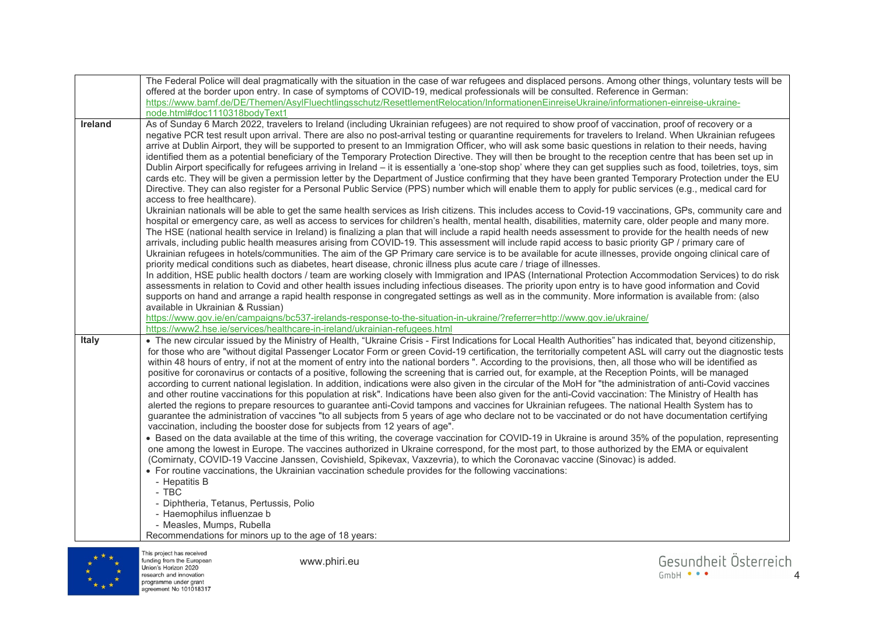|                | The Federal Police will deal pragmatically with the situation in the case of war refugees and displaced persons. Among other things, voluntary tests will be                                                                                                                                                               |
|----------------|----------------------------------------------------------------------------------------------------------------------------------------------------------------------------------------------------------------------------------------------------------------------------------------------------------------------------|
|                | offered at the border upon entry. In case of symptoms of COVID-19, medical professionals will be consulted. Reference in German:                                                                                                                                                                                           |
|                | https://www.bamf.de/DE/Themen/AsylFluechtlingsschutz/ResettlementRelocation/InformationenEinreiseUkraine/informationen-einreise-ukraine-                                                                                                                                                                                   |
|                | node.html#doc1110318bodyText1                                                                                                                                                                                                                                                                                              |
| <b>Ireland</b> | As of Sunday 6 March 2022, travelers to Ireland (including Ukrainian refugees) are not required to show proof of vaccination, proof of recovery or a                                                                                                                                                                       |
|                | negative PCR test result upon arrival. There are also no post-arrival testing or quarantine requirements for travelers to Ireland. When Ukrainian refugees                                                                                                                                                                 |
|                | arrive at Dublin Airport, they will be supported to present to an Immigration Officer, who will ask some basic questions in relation to their needs, having<br>identified them as a potential beneficiary of the Temporary Protection Directive. They will then be brought to the reception centre that has been set up in |
|                | Dublin Airport specifically for refugees arriving in Ireland – it is essentially a 'one-stop shop' where they can get supplies such as food, toiletries, toys, sim                                                                                                                                                         |
|                | cards etc. They will be given a permission letter by the Department of Justice confirming that they have been granted Temporary Protection under the EU                                                                                                                                                                    |
|                | Directive. They can also register for a Personal Public Service (PPS) number which will enable them to apply for public services (e.g., medical card for                                                                                                                                                                   |
|                | access to free healthcare).                                                                                                                                                                                                                                                                                                |
|                | Ukrainian nationals will be able to get the same health services as Irish citizens. This includes access to Covid-19 vaccinations, GPs, community care and                                                                                                                                                                 |
|                | hospital or emergency care, as well as access to services for children's health, mental health, disabilities, maternity care, older people and many more.                                                                                                                                                                  |
|                | The HSE (national health service in Ireland) is finalizing a plan that will include a rapid health needs assessment to provide for the health needs of new                                                                                                                                                                 |
|                | arrivals, including public health measures arising from COVID-19. This assessment will include rapid access to basic priority GP / primary care of                                                                                                                                                                         |
|                | Ukrainian refugees in hotels/communities. The aim of the GP Primary care service is to be available for acute illnesses, provide ongoing clinical care of                                                                                                                                                                  |
|                | priority medical conditions such as diabetes, heart disease, chronic illness plus acute care / triage of illnesses.                                                                                                                                                                                                        |
|                | In addition, HSE public health doctors / team are working closely with Immigration and IPAS (International Protection Accommodation Services) to do risk                                                                                                                                                                   |
|                | assessments in relation to Covid and other health issues including infectious diseases. The priority upon entry is to have good information and Covid                                                                                                                                                                      |
|                | supports on hand and arrange a rapid health response in congregated settings as well as in the community. More information is available from: (also                                                                                                                                                                        |
|                | available in Ukrainian & Russian)                                                                                                                                                                                                                                                                                          |
|                |                                                                                                                                                                                                                                                                                                                            |
|                | https://www.gov.ie/en/campaigns/bc537-irelands-response-to-the-situation-in-ukraine/?referrer=http://www.gov.ie/ukraine/                                                                                                                                                                                                   |
|                | https://www2.hse.ie/services/healthcare-in-ireland/ukrainian-refugees.html                                                                                                                                                                                                                                                 |
| <b>Italy</b>   | . The new circular issued by the Ministry of Health, "Ukraine Crisis - First Indications for Local Health Authorities" has indicated that, beyond citizenship,                                                                                                                                                             |
|                | for those who are "without digital Passenger Locator Form or green Covid-19 certification, the territorially competent ASL will carry out the diagnostic tests                                                                                                                                                             |
|                | within 48 hours of entry, if not at the moment of entry into the national borders ". According to the provisions, then, all those who will be identified as                                                                                                                                                                |
|                | positive for coronavirus or contacts of a positive, following the screening that is carried out, for example, at the Reception Points, will be managed                                                                                                                                                                     |
|                | according to current national legislation. In addition, indications were also given in the circular of the MoH for "the administration of anti-Covid vaccines                                                                                                                                                              |
|                | and other routine vaccinations for this population at risk". Indications have been also given for the anti-Covid vaccination: The Ministry of Health has<br>alerted the regions to prepare resources to guarantee anti-Covid tampons and vaccines for Ukrainian refugees. The national Health System has to                |
|                | guarantee the administration of vaccines "to all subjects from 5 years of age who declare not to be vaccinated or do not have documentation certifying                                                                                                                                                                     |
|                | vaccination, including the booster dose for subjects from 12 years of age".                                                                                                                                                                                                                                                |
|                | • Based on the data available at the time of this writing, the coverage vaccination for COVID-19 in Ukraine is around 35% of the population, representing                                                                                                                                                                  |
|                | one among the lowest in Europe. The vaccines authorized in Ukraine correspond, for the most part, to those authorized by the EMA or equivalent                                                                                                                                                                             |
|                | (Comirnaty, COVID-19 Vaccine Janssen, Covishield, Spikevax, Vaxzevria), to which the Coronavac vaccine (Sinovac) is added.                                                                                                                                                                                                 |
|                | • For routine vaccinations, the Ukrainian vaccination schedule provides for the following vaccinations:                                                                                                                                                                                                                    |
|                | - Hepatitis B                                                                                                                                                                                                                                                                                                              |
|                | $-$ TBC                                                                                                                                                                                                                                                                                                                    |
|                | - Diphtheria, Tetanus, Pertussis, Polio                                                                                                                                                                                                                                                                                    |
|                | - Haemophilus influenzae b                                                                                                                                                                                                                                                                                                 |
|                | - Measles, Mumps, Rubella<br>Recommendations for minors up to the age of 18 years:                                                                                                                                                                                                                                         |



This project has received<br>funding from the European<br>Union's Horizon 2020<br>research and innovation<br>programme under grant<br>agreement No 101018317

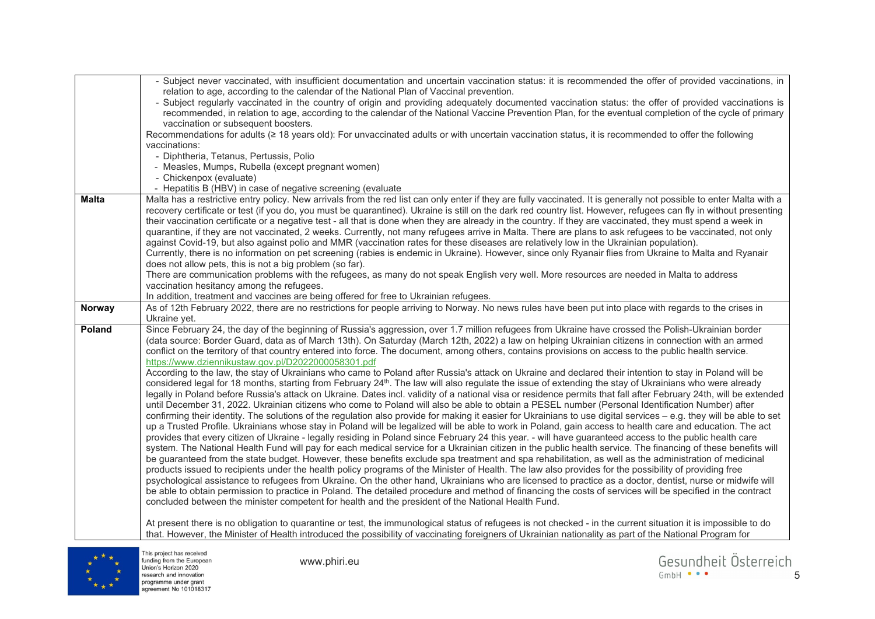|              | - Subject never vaccinated, with insufficient documentation and uncertain vaccination status: it is recommended the offer of provided vaccinations, in                                                                                           |
|--------------|--------------------------------------------------------------------------------------------------------------------------------------------------------------------------------------------------------------------------------------------------|
|              | relation to age, according to the calendar of the National Plan of Vaccinal prevention.<br>- Subject regularly vaccinated in the country of origin and providing adequately documented vaccination status: the offer of provided vaccinations is |
|              | recommended, in relation to age, according to the calendar of the National Vaccine Prevention Plan, for the eventual completion of the cycle of primary                                                                                          |
|              | vaccination or subsequent boosters.                                                                                                                                                                                                              |
|              | Recommendations for adults (≥ 18 years old): For unvaccinated adults or with uncertain vaccination status, it is recommended to offer the following                                                                                              |
|              | vaccinations:                                                                                                                                                                                                                                    |
|              | - Diphtheria, Tetanus, Pertussis, Polio                                                                                                                                                                                                          |
|              | - Measles, Mumps, Rubella (except pregnant women)                                                                                                                                                                                                |
|              | - Chickenpox (evaluate)                                                                                                                                                                                                                          |
|              | - Hepatitis B (HBV) in case of negative screening (evaluate                                                                                                                                                                                      |
| <b>Malta</b> | Malta has a restrictive entry policy. New arrivals from the red list can only enter if they are fully vaccinated. It is generally not possible to enter Malta with a                                                                             |
|              | recovery certificate or test (if you do, you must be quarantined). Ukraine is still on the dark red country list. However, refugees can fly in without presenting                                                                                |
|              | their vaccination certificate or a negative test - all that is done when they are already in the country. If they are vaccinated, they must spend a week in                                                                                      |
|              | quarantine, if they are not vaccinated, 2 weeks. Currently, not many refugees arrive in Malta. There are plans to ask refugees to be vaccinated, not only                                                                                        |
|              | against Covid-19, but also against polio and MMR (vaccination rates for these diseases are relatively low in the Ukrainian population).                                                                                                          |
|              | Currently, there is no information on pet screening (rabies is endemic in Ukraine). However, since only Ryanair flies from Ukraine to Malta and Ryanair                                                                                          |
|              | does not allow pets, this is not a big problem (so far).                                                                                                                                                                                         |
|              | There are communication problems with the refugees, as many do not speak English very well. More resources are needed in Malta to address                                                                                                        |
|              | vaccination hesitancy among the refugees.                                                                                                                                                                                                        |
|              | In addition, treatment and vaccines are being offered for free to Ukrainian refugees.                                                                                                                                                            |
| Norway       | As of 12th February 2022, there are no restrictions for people arriving to Norway. No news rules have been put into place with regards to the crises in                                                                                          |
|              | Ukraine yet.                                                                                                                                                                                                                                     |
| Poland       | Since February 24, the day of the beginning of Russia's aggression, over 1.7 million refugees from Ukraine have crossed the Polish-Ukrainian border                                                                                              |
|              | (data source: Border Guard, data as of March 13th). On Saturday (March 12th, 2022) a law on helping Ukrainian citizens in connection with an armed                                                                                               |
|              | conflict on the territory of that country entered into force. The document, among others, contains provisions on access to the public health service.                                                                                            |
|              | https://www.dziennikustaw.gov.pl/D2022000058301.pdf<br>According to the law, the stay of Ukrainians who came to Poland after Russia's attack on Ukraine and declared their intention to stay in Poland will be                                   |
|              | considered legal for 18 months, starting from February 24 <sup>th</sup> . The law will also regulate the issue of extending the stay of Ukrainians who were already                                                                              |
|              | legally in Poland before Russia's attack on Ukraine. Dates incl. validity of a national visa or residence permits that fall after February 24th, will be extended                                                                                |
|              | until December 31, 2022. Ukrainian citizens who come to Poland will also be able to obtain a PESEL number (Personal Identification Number) after                                                                                                 |
|              | confirming their identity. The solutions of the regulation also provide for making it easier for Ukrainians to use digital services - e.g. they will be able to set                                                                              |
|              | up a Trusted Profile. Ukrainians whose stay in Poland will be legalized will be able to work in Poland, gain access to health care and education. The act                                                                                        |
|              | provides that every citizen of Ukraine - legally residing in Poland since February 24 this year. - will have guaranteed access to the public health care                                                                                         |
|              | system. The National Health Fund will pay for each medical service for a Ukrainian citizen in the public health service. The financing of these benefits will                                                                                    |
|              | be guaranteed from the state budget. However, these benefits exclude spa treatment and spa rehabilitation, as well as the administration of medicinal                                                                                            |
|              | products issued to recipients under the health policy programs of the Minister of Health. The law also provides for the possibility of providing free                                                                                            |
|              | psychological assistance to refugees from Ukraine. On the other hand, Ukrainians who are licensed to practice as a doctor, dentist, nurse or midwife will                                                                                        |
|              | be able to obtain permission to practice in Poland. The detailed procedure and method of financing the costs of services will be specified in the contract                                                                                       |
|              | concluded between the minister competent for health and the president of the National Health Fund.                                                                                                                                               |
|              |                                                                                                                                                                                                                                                  |
|              | At present there is no obligation to quarantine or test, the immunological status of refugees is not checked - in the current situation it is impossible to do                                                                                   |
|              | that. However, the Minister of Health introduced the possibility of vaccinating foreigners of Ukrainian nationality as part of the National Program for                                                                                          |



This project has received<br>funding from the European<br>Union's Horizon 2020<br>research and innovation<br>programme under grant<br>agreement No 101018317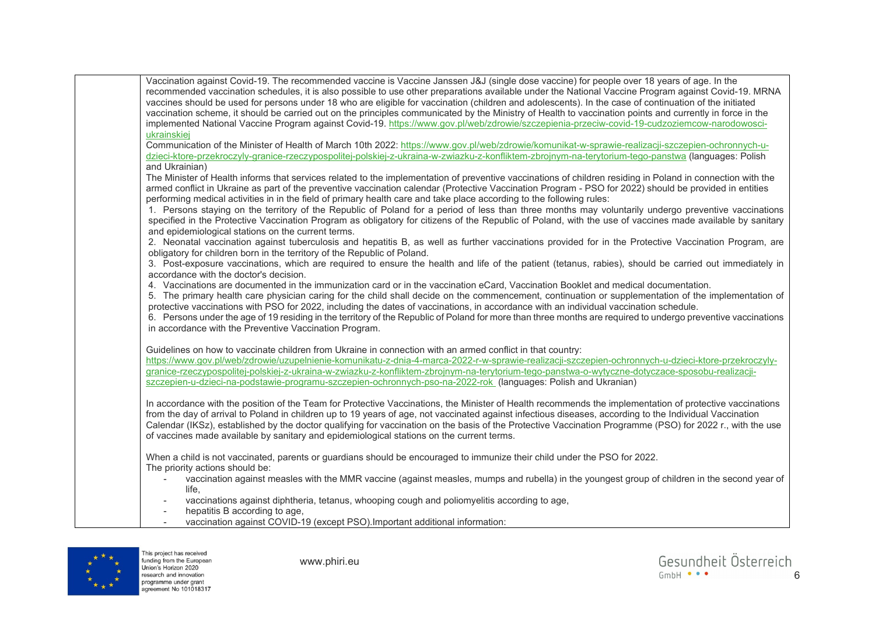| Vaccination against Covid-19. The recommended vaccine is Vaccine Janssen J&J (single dose vaccine) for people over 18 years of age. In the<br>recommended vaccination schedules, it is also possible to use other preparations available under the National Vaccine Program against Covid-19. MRNA<br>vaccines should be used for persons under 18 who are eligible for vaccination (children and adolescents). In the case of continuation of the initiated<br>vaccination scheme, it should be carried out on the principles communicated by the Ministry of Health to vaccination points and currently in force in the                                        |
|------------------------------------------------------------------------------------------------------------------------------------------------------------------------------------------------------------------------------------------------------------------------------------------------------------------------------------------------------------------------------------------------------------------------------------------------------------------------------------------------------------------------------------------------------------------------------------------------------------------------------------------------------------------|
| implemented National Vaccine Program against Covid-19. https://www.gov.pl/web/zdrowie/szczepienia-przeciw-covid-19-cudzoziemcow-narodowosci-<br>ukrainskiej                                                                                                                                                                                                                                                                                                                                                                                                                                                                                                      |
| Communication of the Minister of Health of March 10th 2022: https://www.gov.pl/web/zdrowie/komunikat-w-sprawie-realizacji-szczepien-ochronnych-u-<br>dzieci-ktore-przekroczyly-granice-rzeczypospolitej-polskiej-z-ukraina-w-zwiazku-z-konfliktem-zbrojnym-na-terytorium-tego-panstwa (languages: Polish                                                                                                                                                                                                                                                                                                                                                         |
| and Ukrainian)                                                                                                                                                                                                                                                                                                                                                                                                                                                                                                                                                                                                                                                   |
| The Minister of Health informs that services related to the implementation of preventive vaccinations of children residing in Poland in connection with the<br>armed conflict in Ukraine as part of the preventive vaccination calendar (Protective Vaccination Program - PSO for 2022) should be provided in entities<br>performing medical activities in in the field of primary health care and take place according to the following rules:                                                                                                                                                                                                                  |
| 1. Persons staying on the territory of the Republic of Poland for a period of less than three months may voluntarily undergo preventive vaccinations<br>specified in the Protective Vaccination Program as obligatory for citizens of the Republic of Poland, with the use of vaccines made available by sanitary<br>and epidemiological stations on the current terms.                                                                                                                                                                                                                                                                                          |
| 2. Neonatal vaccination against tuberculosis and hepatitis B, as well as further vaccinations provided for in the Protective Vaccination Program, are<br>obligatory for children born in the territory of the Republic of Poland.                                                                                                                                                                                                                                                                                                                                                                                                                                |
| 3. Post-exposure vaccinations, which are required to ensure the health and life of the patient (tetanus, rabies), should be carried out immediately in<br>accordance with the doctor's decision.                                                                                                                                                                                                                                                                                                                                                                                                                                                                 |
| 4. Vaccinations are documented in the immunization card or in the vaccination eCard, Vaccination Booklet and medical documentation.<br>5. The primary health care physician caring for the child shall decide on the commencement, continuation or supplementation of the implementation of<br>protective vaccinations with PSO for 2022, including the dates of vaccinations, in accordance with an individual vaccination schedule.<br>6. Persons under the age of 19 residing in the territory of the Republic of Poland for more than three months are required to undergo preventive vaccinations<br>in accordance with the Preventive Vaccination Program. |
| Guidelines on how to vaccinate children from Ukraine in connection with an armed conflict in that country:<br>https://www.gov.pl/web/zdrowie/uzupelnienie-komunikatu-z-dnia-4-marca-2022-r-w-sprawie-realizacji-szczepien-ochronnych-u-dzieci-ktore-przekroczyly-<br>granice-rzeczypospolitej-polskiej-z-ukraina-w-zwiazku-z-konfliktem-zbrojnym-na-terytorium-tego-panstwa-o-wytyczne-dotyczace-sposobu-realizacji-<br>szczepien-u-dzieci-na-podstawie-programu-szczepien-ochronnych-pso-na-2022-rok (languages: Polish and Ukranian)                                                                                                                           |
| In accordance with the position of the Team for Protective Vaccinations, the Minister of Health recommends the implementation of protective vaccinations<br>from the day of arrival to Poland in children up to 19 years of age, not vaccinated against infectious diseases, according to the Individual Vaccination<br>Calendar (IKSz), established by the doctor qualifying for vaccination on the basis of the Protective Vaccination Programme (PSO) for 2022 r., with the use<br>of vaccines made available by sanitary and epidemiological stations on the current terms.                                                                                  |
| When a child is not vaccinated, parents or guardians should be encouraged to immunize their child under the PSO for 2022.<br>The priority actions should be:                                                                                                                                                                                                                                                                                                                                                                                                                                                                                                     |
| vaccination against measles with the MMR vaccine (against measles, mumps and rubella) in the youngest group of children in the second year of<br>life,                                                                                                                                                                                                                                                                                                                                                                                                                                                                                                           |
| vaccinations against diphtheria, tetanus, whooping cough and poliomyelitis according to age,<br>hepatitis B according to age,<br>$\overline{\phantom{a}}$                                                                                                                                                                                                                                                                                                                                                                                                                                                                                                        |
| vaccination against COVID-19 (except PSO). Important additional information:                                                                                                                                                                                                                                                                                                                                                                                                                                                                                                                                                                                     |



This project has received<br>funding from the European<br>Union's Horizon 2020<br>research and innovation<br>programme under grant<br>agreement No 101018317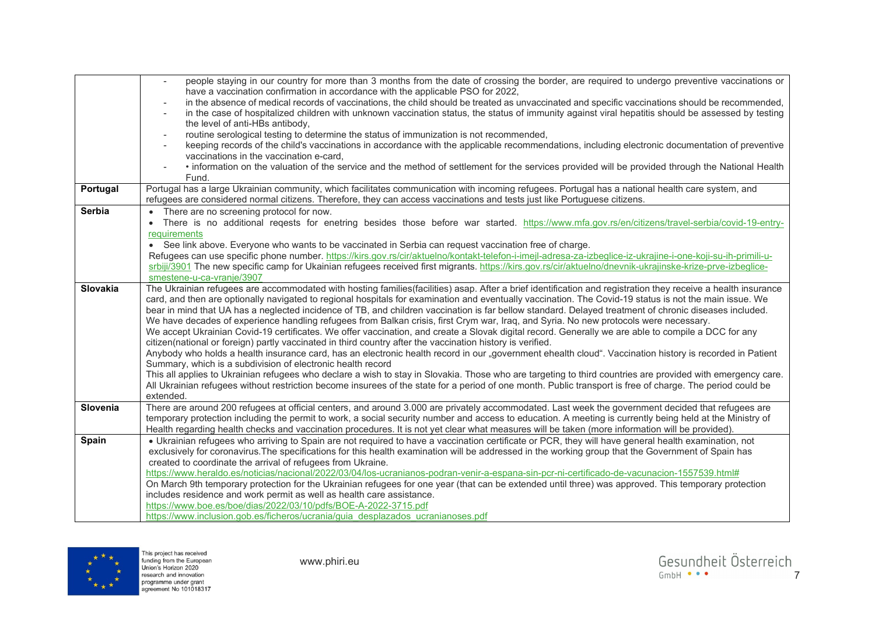|               | people staying in our country for more than 3 months from the date of crossing the border, are required to undergo preventive vaccinations or<br>$\mathcal{L}$<br>have a vaccination confirmation in accordance with the applicable PSO for 2022,                                                                                                                    |
|---------------|----------------------------------------------------------------------------------------------------------------------------------------------------------------------------------------------------------------------------------------------------------------------------------------------------------------------------------------------------------------------|
|               | in the absence of medical records of vaccinations, the child should be treated as unvaccinated and specific vaccinations should be recommended,<br>in the case of hospitalized children with unknown vaccination status, the status of immunity against viral hepatitis should be assessed by testing<br>$\overline{\phantom{a}}$<br>the level of anti-HBs antibody, |
|               | routine serological testing to determine the status of immunization is not recommended,<br>$\overline{\phantom{a}}$                                                                                                                                                                                                                                                  |
|               | keeping records of the child's vaccinations in accordance with the applicable recommendations, including electronic documentation of preventive                                                                                                                                                                                                                      |
|               | vaccinations in the vaccination e-card.                                                                                                                                                                                                                                                                                                                              |
|               | • information on the valuation of the service and the method of settlement for the services provided will be provided through the National Health                                                                                                                                                                                                                    |
|               | Fund.                                                                                                                                                                                                                                                                                                                                                                |
| Portugal      | Portugal has a large Ukrainian community, which facilitates communication with incoming refugees. Portugal has a national health care system, and                                                                                                                                                                                                                    |
|               | refugees are considered normal citizens. Therefore, they can access vaccinations and tests just like Portuguese citizens.                                                                                                                                                                                                                                            |
| <b>Serbia</b> | • There are no screening protocol for now.                                                                                                                                                                                                                                                                                                                           |
|               | • There is no additional regests for enetring besides those before war started. https://www.mfa.gov.rs/en/citizens/travel-serbia/covid-19-entry-                                                                                                                                                                                                                     |
|               | requirements                                                                                                                                                                                                                                                                                                                                                         |
|               | • See link above. Everyone who wants to be vaccinated in Serbia can request vaccination free of charge.                                                                                                                                                                                                                                                              |
|               | Refugees can use specific phone number. https://kirs.gov.rs/cir/aktuelno/kontakt-telefon-i-imejl-adresa-za-izbeglice-iz-ukrajine-i-one-koji-su-ih-primili-u-<br>srbiji/3901 The new specific camp for Ukainian refugees received first migrants. https://kirs.gov.rs/cir/aktuelno/dnevnik-ukrajinske-krize-prve-izbeglice-                                           |
|               | smestene-u-ca-vranje/3907                                                                                                                                                                                                                                                                                                                                            |
| Slovakia      | The Ukrainian refugees are accommodated with hosting families(facilities) asap. After a brief identification and registration they receive a health insurance                                                                                                                                                                                                        |
|               | card, and then are optionally navigated to regional hospitals for examination and eventually vaccination. The Covid-19 status is not the main issue. We                                                                                                                                                                                                              |
|               | bear in mind that UA has a neglected incidence of TB, and children vaccination is far bellow standard. Delayed treatment of chronic diseases included.                                                                                                                                                                                                               |
|               | We have decades of experience handling refugees from Balkan crisis, first Crym war, Iraq, and Syria. No new protocols were necessary.                                                                                                                                                                                                                                |
|               | We accept Ukrainian Covid-19 certificates. We offer vaccination, and create a Slovak digital record. Generally we are able to compile a DCC for any                                                                                                                                                                                                                  |
|               | citizen(national or foreign) partly vaccinated in third country after the vaccination history is verified.                                                                                                                                                                                                                                                           |
|               | Anybody who holds a health insurance card, has an electronic health record in our "government ehealth cloud". Vaccination history is recorded in Patient                                                                                                                                                                                                             |
|               | Summary, which is a subdivision of electronic health record                                                                                                                                                                                                                                                                                                          |
|               | This all applies to Ukrainian refugees who declare a wish to stay in Slovakia. Those who are targeting to third countries are provided with emergency care.                                                                                                                                                                                                          |
|               | All Ukrainian refugees without restriction become insurees of the state for a period of one month. Public transport is free of charge. The period could be                                                                                                                                                                                                           |
| Slovenia      | extended.<br>There are around 200 refugees at official centers, and around 3.000 are privately accommodated. Last week the government decided that refugees are                                                                                                                                                                                                      |
|               | temporary protection including the permit to work, a social security number and access to education. A meeting is currently being held at the Ministry of                                                                                                                                                                                                            |
|               | Health regarding health checks and vaccination procedures. It is not yet clear what measures will be taken (more information will be provided).                                                                                                                                                                                                                      |
| Spain         | • Ukrainian refugees who arriving to Spain are not required to have a vaccination certificate or PCR, they will have general health examination, not                                                                                                                                                                                                                 |
|               | exclusively for coronavirus. The specifications for this health examination will be addressed in the working group that the Government of Spain has                                                                                                                                                                                                                  |
|               | created to coordinate the arrival of refugees from Ukraine.                                                                                                                                                                                                                                                                                                          |
|               | https://www.heraldo.es/noticias/nacional/2022/03/04/los-ucranianos-podran-venir-a-espana-sin-pcr-ni-certificado-de-vacunacion-1557539.html#                                                                                                                                                                                                                          |
|               | On March 9th temporary protection for the Ukrainian refugees for one year (that can be extended until three) was approved. This temporary protection                                                                                                                                                                                                                 |
|               | includes residence and work permit as well as health care assistance.                                                                                                                                                                                                                                                                                                |
|               | https://www.boe.es/boe/dias/2022/03/10/pdfs/BOE-A-2022-3715.pdf                                                                                                                                                                                                                                                                                                      |
|               | https://www.inclusion.gob.es/ficheros/ucrania/guia_desplazados_ucranianoses.pdf                                                                                                                                                                                                                                                                                      |